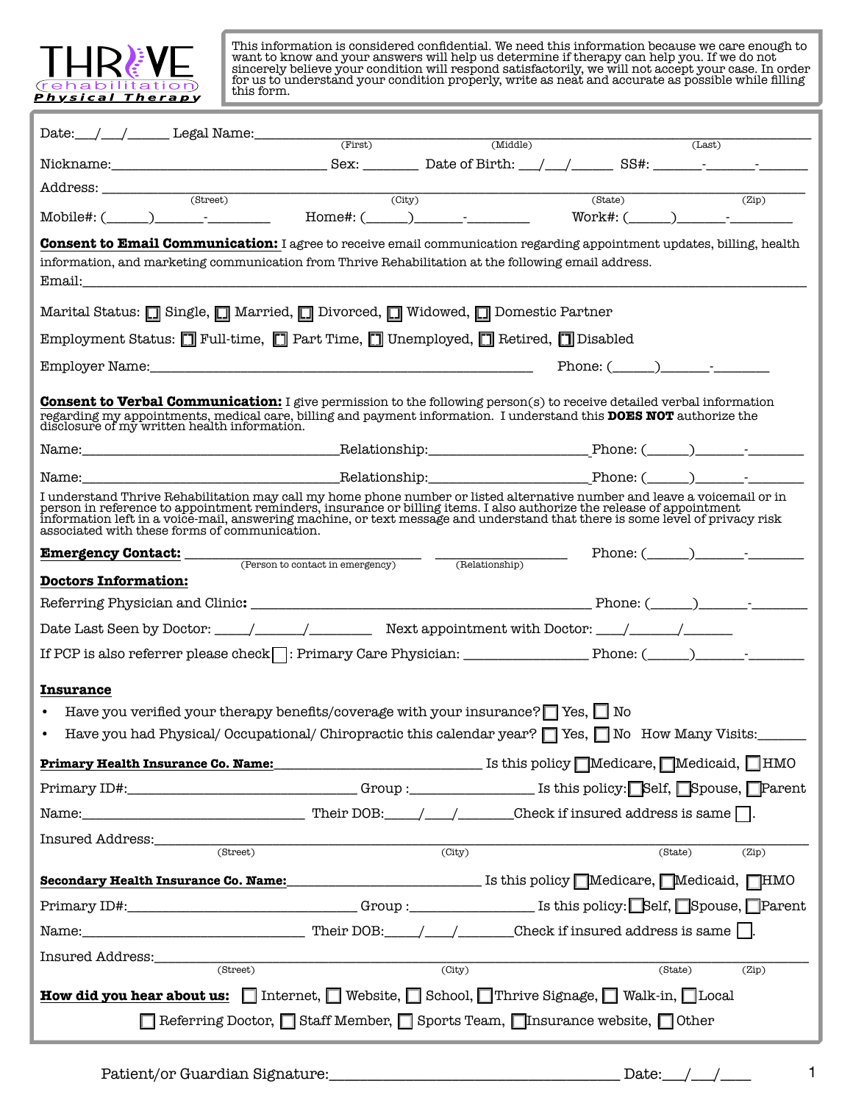

This information is considered confidential. We need this information because we care enough to want to know and your answers will help us determine if therapy can help you. If we do not sincerely believe your condition will respond satisfactorily, we will not accept your case. In order for us to understand your condition properly, write as neat and accurate as possible while filling this form.

| $\text{Date:}\qquad\qquad \qquad \text{Local Name:}\qquad\qquad \qquad \text{ (First)}\qquad\qquad \qquad \text{ (Middle)}$                                                                                                                                                                                                                                                                                                                                                                                                                                                                |                     |         | (Last)                    |
|--------------------------------------------------------------------------------------------------------------------------------------------------------------------------------------------------------------------------------------------------------------------------------------------------------------------------------------------------------------------------------------------------------------------------------------------------------------------------------------------------------------------------------------------------------------------------------------------|---------------------|---------|---------------------------|
|                                                                                                                                                                                                                                                                                                                                                                                                                                                                                                                                                                                            |                     |         |                           |
|                                                                                                                                                                                                                                                                                                                                                                                                                                                                                                                                                                                            |                     |         |                           |
| $\mbox{Address:}\begin{tabular}{c} \begin{tabular}{c} \multicolumn{2}{c}{\textbf{\textcolor{blue}{\bf \textcolor{blue}{\bf \textcolor{blue}{\bf \textcolor{blue}{\bf \textcolor{blue}{\bf \textcolor{blue}{\bf \textcolor{blue}{\bf \textcolor{blue}{\bf \textcolor{blue}{\bf \textcolor{blue}{\bf \textcolor{blue}{\bf \textcolor{blue}{\bf \textcolor{blue}{\bf \textcolor{blue}{\bf \textcolor{blue}{\bf \textcolor{blue}{\bf \textcolor{blue}{\bf \textcolor{blue}{\bf \textcolor{blue}{\bf \textcolor{blue}{\bf \textcolor{blue}{\bf \textcolor{blue}{\bf \textcolor{blue}{\bf \text$ |                     | (State) | $\overline{\text{(Zip)}}$ |
| <b>Consent to Email Communication:</b> I agree to receive email communication regarding appointment updates, billing, health<br>information, and marketing communication from Thrive Rehabilitation at the following email address.                                                                                                                                                                                                                                                                                                                                                        |                     |         |                           |
| Marital Status: [] Single, [] Married, [] Divorced, [] Widowed, [] Domestic Partner                                                                                                                                                                                                                                                                                                                                                                                                                                                                                                        |                     |         |                           |
| Employment Status: I Full-time, I Part Time, I Unemployed, I Retired, I Disabled                                                                                                                                                                                                                                                                                                                                                                                                                                                                                                           |                     |         |                           |
|                                                                                                                                                                                                                                                                                                                                                                                                                                                                                                                                                                                            |                     |         |                           |
| <b>Consent to Verbal Communication:</b> I give permission to the following person(s) to receive detailed verbal information<br>regarding my appointments, medical care, billing and payment information. I understand this <b>DOES NOT</b> authorize the disclosure of my written health information.                                                                                                                                                                                                                                                                                      |                     |         |                           |
|                                                                                                                                                                                                                                                                                                                                                                                                                                                                                                                                                                                            |                     |         |                           |
|                                                                                                                                                                                                                                                                                                                                                                                                                                                                                                                                                                                            |                     |         |                           |
| I understand Thrive Rehabilitation may call my home phone number or listed alternative number and leave a voicemail or in<br>person in reference to appointment reminders, insurance or billing items. I also authorize the relea<br>associated with these forms of communication.                                                                                                                                                                                                                                                                                                         |                     |         |                           |
| <b>Emergency Contact:</b> Person to contact in emergency Find the Contentium Contact in emergency Phone: (Alexander Phone: (Alexander Phone: (Alexander Phone: (Alexander Phone: (Alexander Phone: (Alexander Phone: Contact in eme                                                                                                                                                                                                                                                                                                                                                        |                     |         |                           |
| <b>Doctors Information:</b>                                                                                                                                                                                                                                                                                                                                                                                                                                                                                                                                                                |                     |         |                           |
|                                                                                                                                                                                                                                                                                                                                                                                                                                                                                                                                                                                            |                     |         |                           |
|                                                                                                                                                                                                                                                                                                                                                                                                                                                                                                                                                                                            |                     |         |                           |
|                                                                                                                                                                                                                                                                                                                                                                                                                                                                                                                                                                                            |                     |         |                           |
| <b>Insurance</b>                                                                                                                                                                                                                                                                                                                                                                                                                                                                                                                                                                           |                     |         |                           |
| Have you verified your therapy benefits/coverage with your insurance? $\Box$ Yes, $\Box$ No<br>$\bullet$                                                                                                                                                                                                                                                                                                                                                                                                                                                                                   |                     |         |                           |
| Have you had Physical/ Occupational/ Chiropractic this calendar year? T Yes, No How Many Visits:                                                                                                                                                                                                                                                                                                                                                                                                                                                                                           |                     |         |                           |
|                                                                                                                                                                                                                                                                                                                                                                                                                                                                                                                                                                                            |                     |         |                           |
| Primary ID#:_________________________________Group :_____________________________ Is this policy: Self, Spouse, Parent                                                                                                                                                                                                                                                                                                                                                                                                                                                                     |                     |         |                           |
|                                                                                                                                                                                                                                                                                                                                                                                                                                                                                                                                                                                            |                     |         |                           |
| (Street)                                                                                                                                                                                                                                                                                                                                                                                                                                                                                                                                                                                   | (City)              |         | (State)<br>(Zip)          |
|                                                                                                                                                                                                                                                                                                                                                                                                                                                                                                                                                                                            |                     |         |                           |
|                                                                                                                                                                                                                                                                                                                                                                                                                                                                                                                                                                                            |                     |         |                           |
| Primary ID#:_________________________________Group :_____________________________ Is this policy: Self, Spouse, Parent                                                                                                                                                                                                                                                                                                                                                                                                                                                                     |                     |         |                           |
|                                                                                                                                                                                                                                                                                                                                                                                                                                                                                                                                                                                            |                     |         |                           |
| Insured Address:______________<br>(Street)                                                                                                                                                                                                                                                                                                                                                                                                                                                                                                                                                 | $\overline{(City)}$ |         | (State)<br>(Zip)          |
| <b>How did you hear about us:</b> $\Box$ Internet, $\Box$ Website, $\Box$ School, $\Box$ Thrive Signage, $\Box$ Walk-in, $\Box$ Local                                                                                                                                                                                                                                                                                                                                                                                                                                                      |                     |         |                           |
| Referring Doctor, Staff Member, Sports Team, Tinsurance website, Other                                                                                                                                                                                                                                                                                                                                                                                                                                                                                                                     |                     |         |                           |

1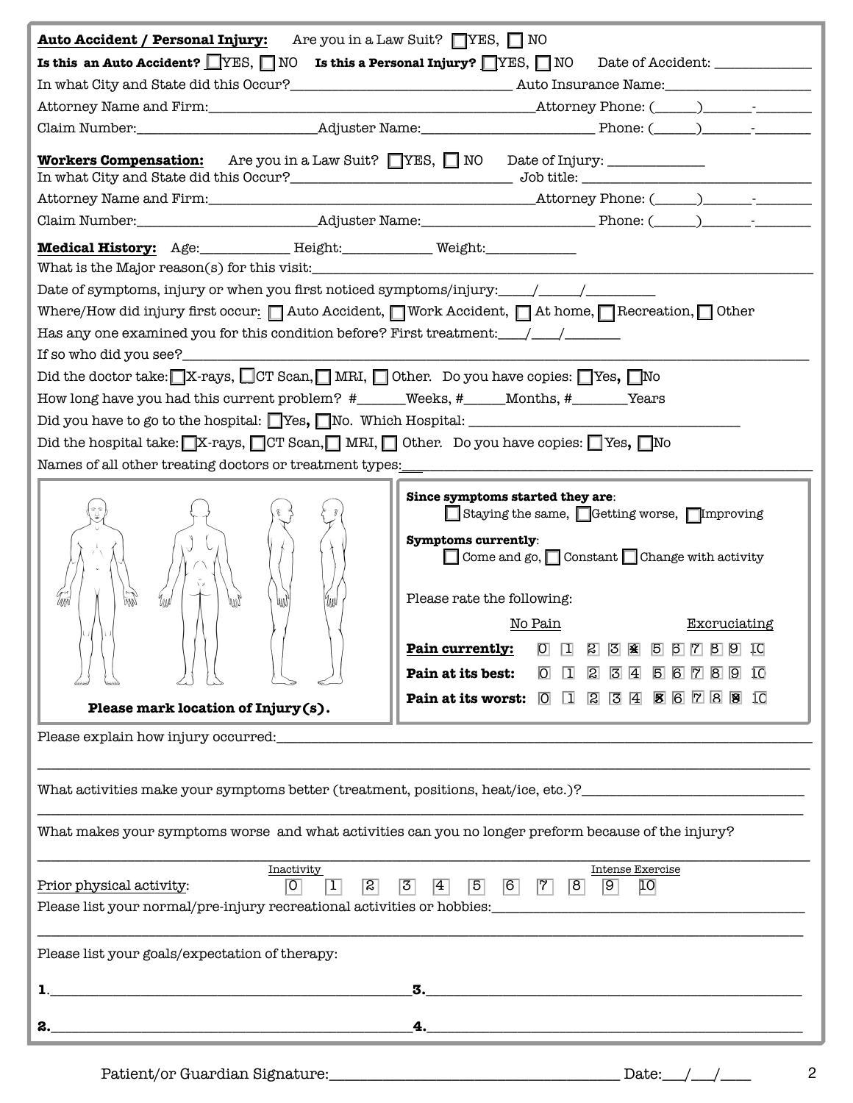| <b>Auto Accident / Personal Injury:</b>                                                                                                                                                                                                                                                                                                                             | Are you in a Law Suit? $\Box$ YES, $\Box$ NO                                                                                                                            |
|---------------------------------------------------------------------------------------------------------------------------------------------------------------------------------------------------------------------------------------------------------------------------------------------------------------------------------------------------------------------|-------------------------------------------------------------------------------------------------------------------------------------------------------------------------|
| Is this an Auto Accident? $\Box$ YES, $\Box$ NO                                                                                                                                                                                                                                                                                                                     | Is this a Personal Injury? $\Box$ YES, $\Box$ NO<br>Date of Accident: ______________                                                                                    |
|                                                                                                                                                                                                                                                                                                                                                                     |                                                                                                                                                                         |
|                                                                                                                                                                                                                                                                                                                                                                     |                                                                                                                                                                         |
|                                                                                                                                                                                                                                                                                                                                                                     |                                                                                                                                                                         |
| <b>Workers Compensation:</b>                                                                                                                                                                                                                                                                                                                                        | Are you in a Law Suit? YES, NO Date of Injury:                                                                                                                          |
|                                                                                                                                                                                                                                                                                                                                                                     |                                                                                                                                                                         |
|                                                                                                                                                                                                                                                                                                                                                                     |                                                                                                                                                                         |
| Medical History: Age: Height: Height: Weight:                                                                                                                                                                                                                                                                                                                       |                                                                                                                                                                         |
|                                                                                                                                                                                                                                                                                                                                                                     |                                                                                                                                                                         |
|                                                                                                                                                                                                                                                                                                                                                                     |                                                                                                                                                                         |
|                                                                                                                                                                                                                                                                                                                                                                     | Where/How did injury first occur: $\Box$ Auto Accident, $\Box$ Work Accident, $\Box$ At home, $\Box$ Recreation, $\Box$ Other                                           |
| Has any one examined you for this condition before? First treatment: $\frac{1}{\sqrt{1-\frac{1}{2}}}\frac{1}{\sqrt{1-\frac{1}{2}}}\frac{1}{\sqrt{1-\frac{1}{2}}}\frac{1}{\sqrt{1-\frac{1}{2}}}\frac{1}{\sqrt{1-\frac{1}{2}}}\frac{1}{\sqrt{1-\frac{1}{2}}}\frac{1}{\sqrt{1-\frac{1}{2}}}\frac{1}{\sqrt{1-\frac{1}{2}}}\frac{1}{\sqrt{1-\frac{1}{2}}}\frac{1}{\sqrt$ |                                                                                                                                                                         |
| If so who did you see?_____________                                                                                                                                                                                                                                                                                                                                 |                                                                                                                                                                         |
|                                                                                                                                                                                                                                                                                                                                                                     | Did the doctor take: $\blacksquare$ X-rays, $\blacksquare$ CT Scan, $\blacksquare$ MRI, $\blacksquare$ Other. Do you have copies: $\blacksquare$ Yes, $\blacksquare$ No |
|                                                                                                                                                                                                                                                                                                                                                                     | How long have you had this current problem? #_____Weeks, #____Months, #______Years                                                                                      |
|                                                                                                                                                                                                                                                                                                                                                                     |                                                                                                                                                                         |
|                                                                                                                                                                                                                                                                                                                                                                     | Did the hospital take: $\sqrt{X}$ -rays, $\sqrt{CT}$ Scan, $\sqrt{MRI}$ , $\sqrt{O}$ Other. Do you have copies: $\sqrt{Y}$ es, $\sqrt{N}$                               |
| Names of all other treating doctors or treatment types: _________________________                                                                                                                                                                                                                                                                                   |                                                                                                                                                                         |
|                                                                                                                                                                                                                                                                                                                                                                     |                                                                                                                                                                         |
|                                                                                                                                                                                                                                                                                                                                                                     | Since symptoms started they are:                                                                                                                                        |
|                                                                                                                                                                                                                                                                                                                                                                     | Staying the same, Getting worse, Improving                                                                                                                              |
|                                                                                                                                                                                                                                                                                                                                                                     | Symptoms currently:                                                                                                                                                     |
|                                                                                                                                                                                                                                                                                                                                                                     | □ Come and go, □ Constant □ Change with activity                                                                                                                        |
|                                                                                                                                                                                                                                                                                                                                                                     |                                                                                                                                                                         |
| U<br>pm<br><b>MW</b><br>l'Inav                                                                                                                                                                                                                                                                                                                                      | Please rate the following:                                                                                                                                              |
|                                                                                                                                                                                                                                                                                                                                                                     | No Pain<br>Excruciating                                                                                                                                                 |
|                                                                                                                                                                                                                                                                                                                                                                     | Pain currently:<br>$\overline{O}$<br>$\Box$<br>$\mathbb{E}$<br> 3   座 <br>56789<br>ΙO                                                                                   |
|                                                                                                                                                                                                                                                                                                                                                                     | Pain at its best:<br>$\overline{O}$ $\overline{1}$<br>$\overline{2}$<br> 3  4 <br>56789<br>10                                                                           |
|                                                                                                                                                                                                                                                                                                                                                                     | Pain at its worst: $\boxed{0}$ $\boxed{1}$ $\boxed{2}$ $\boxed{3}$ $\boxed{4}$ $\boxed{8}$ $\boxed{6}$ $\boxed{7}$ $\boxed{8}$ $\boxed{9}$ $\boxed{0}$                  |
| Please mark location of Injury (s).                                                                                                                                                                                                                                                                                                                                 |                                                                                                                                                                         |
|                                                                                                                                                                                                                                                                                                                                                                     |                                                                                                                                                                         |
|                                                                                                                                                                                                                                                                                                                                                                     |                                                                                                                                                                         |
|                                                                                                                                                                                                                                                                                                                                                                     |                                                                                                                                                                         |
|                                                                                                                                                                                                                                                                                                                                                                     |                                                                                                                                                                         |
|                                                                                                                                                                                                                                                                                                                                                                     | What makes your symptoms worse and what activities can you no longer preform because of the injury?                                                                     |
|                                                                                                                                                                                                                                                                                                                                                                     |                                                                                                                                                                         |
| Inactivity                                                                                                                                                                                                                                                                                                                                                          | <b>Intense Exercise</b>                                                                                                                                                 |
| $ \sigma $<br>$\vert \text{T} \vert$<br>Prior physical activity:                                                                                                                                                                                                                                                                                                    | $\sqrt{3}$<br>$\boxed{5}$<br>$\begin{array}{ c c c c c } \hline \text{6} & \text{7} & \text{8} \end{array}$<br>$\sqrt{2}$<br>$\vert 4 \vert$<br>$\boxed{9}$<br> 10      |
|                                                                                                                                                                                                                                                                                                                                                                     |                                                                                                                                                                         |
|                                                                                                                                                                                                                                                                                                                                                                     |                                                                                                                                                                         |
| Please list your goals/expectation of therapy:                                                                                                                                                                                                                                                                                                                      |                                                                                                                                                                         |
|                                                                                                                                                                                                                                                                                                                                                                     | 3.                                                                                                                                                                      |
|                                                                                                                                                                                                                                                                                                                                                                     |                                                                                                                                                                         |
|                                                                                                                                                                                                                                                                                                                                                                     |                                                                                                                                                                         |
|                                                                                                                                                                                                                                                                                                                                                                     | Date:___/___/____                                                                                                                                                       |

2